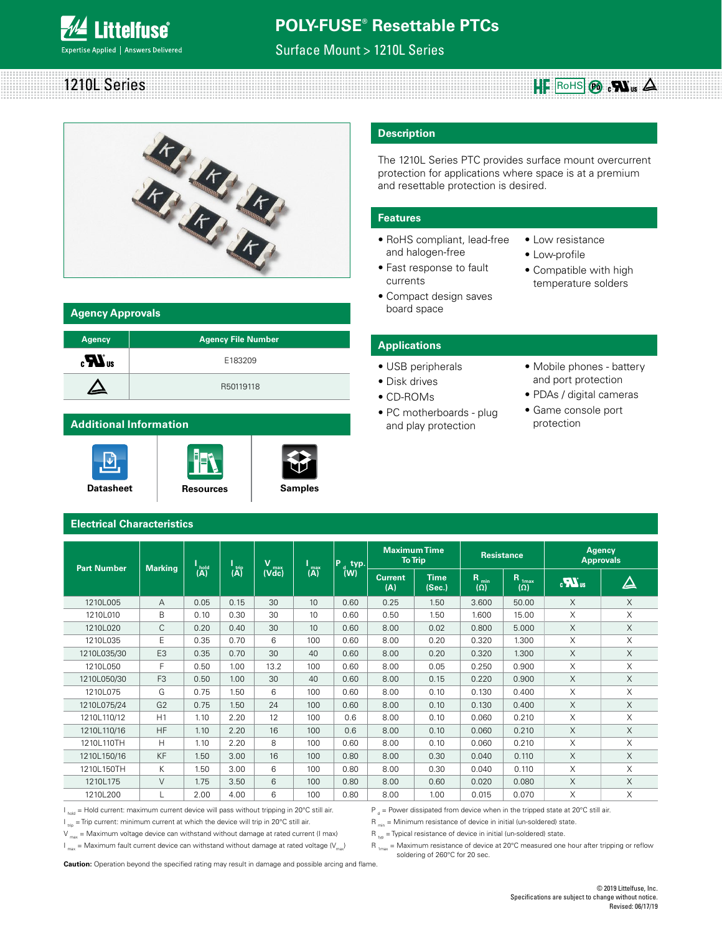

Surface Mount > 1210L Series

# 1210L Series  $\mathbf{H}$ **F**  $\overline{\text{RohS}}$   $\odot$   $\mathbf{S}$ .



### **Agency Approvals**

| <b>Agency</b>                  | <b>Agency File Number</b> |
|--------------------------------|---------------------------|
| $\boldsymbol{H}$ <sub>us</sub> | E183209                   |
| $\blacktriangle$               | R50119118                 |

### **Additional Information**

I۶





### **Description**

The 1210L Series PTC provides surface mount overcurrent protection for applications where space is at a premium and resettable protection is desired.

### **Features**

- RoHS compliant, lead-free and halogen-free
- Fast response to fault currents
- Compact design saves board space
- Low resistance
- Low-profile
- Compatible with high temperature solders

### **Applications**

- USB peripherals
- Disk drives
- CD-ROMs
- PC motherboards plug and play protection
- Mobile phones battery and port protection
- PDAs / digital cameras
- Game console port protection

### **Electrical Characteristics**

| <b>Part Number</b> | <b>Marking</b> |             |                                           | v<br>max |                                | P<br>typ.     | <b>Maximum Time</b><br><b>To Trip</b> |                       | <b>Resistance</b>              |                                 | <b>Agency</b><br><b>Approvals</b> |          |
|--------------------|----------------|-------------|-------------------------------------------|----------|--------------------------------|---------------|---------------------------------------|-----------------------|--------------------------------|---------------------------------|-----------------------------------|----------|
|                    |                | hold<br>(A) | $\overline{(\mathsf{A})}^{\mathsf{trip}}$ | (Vdc)    | $\binom{\text{max}}{\text{A}}$ | $\sqrt[d]{w}$ | <b>Current</b><br>(A)                 | <b>Time</b><br>(Sec.) | $R_{\text{min}}$<br>$(\Omega)$ | R <sub>1max</sub><br>$(\Omega)$ | $\boldsymbol{u}$                  | $\Delta$ |
| 1210L005           | A              | 0.05        | 0.15                                      | 30       | 10                             | 0.60          | 0.25                                  | 1.50                  | 3.600                          | 50.00                           | X                                 | X        |
| 1210L010           | B              | 0.10        | 0.30                                      | 30       | 10                             | 0.60          | 0.50                                  | 1.50                  | 1.600                          | 15.00                           | X                                 | X        |
| 1210L020           | C              | 0.20        | 0.40                                      | 30       | 10                             | 0.60          | 8.00                                  | 0.02                  | 0.800                          | 5.000                           | $\times$                          | X        |
| 1210L035           | Ε              | 0.35        | 0.70                                      | 6        | 100                            | 0.60          | 8.00                                  | 0.20                  | 0.320                          | 1.300                           | X                                 | X        |
| 1210L035/30        | E <sub>3</sub> | 0.35        | 0.70                                      | 30       | 40                             | 0.60          | 8.00                                  | 0.20                  | 0.320                          | 1.300                           | X                                 | X        |
| 1210L050           | F              | 0.50        | 1.00                                      | 13.2     | 100                            | 0.60          | 8.00                                  | 0.05                  | 0.250                          | 0.900                           | X                                 | X        |
| 1210L050/30        | F <sub>3</sub> | 0.50        | 1.00                                      | 30       | 40                             | 0.60          | 8.00                                  | 0.15                  | 0.220                          | 0.900                           | X                                 | $\times$ |
| 1210L075           | G              | 0.75        | 1.50                                      | 6        | 100                            | 0.60          | 8.00                                  | 0.10                  | 0.130                          | 0.400                           | X                                 | X        |
| 1210L075/24        | G <sub>2</sub> | 0.75        | 1.50                                      | 24       | 100                            | 0.60          | 8.00                                  | 0.10                  | 0.130                          | 0.400                           | $\times$                          | X        |
| 1210L110/12        | H1             | 1.10        | 2.20                                      | 12       | 100                            | 0.6           | 8.00                                  | 0.10                  | 0.060                          | 0.210                           | X                                 | X        |
| 1210L110/16        | <b>HF</b>      | 1.10        | 2.20                                      | 16       | 100                            | 0.6           | 8.00                                  | 0.10                  | 0.060                          | 0.210                           | X                                 | X        |
| 1210L110TH         | H              | 1.10        | 2.20                                      | 8        | 100                            | 0.60          | 8.00                                  | 0.10                  | 0.060                          | 0.210                           | X                                 | X        |
| 1210L150/16        | <b>KF</b>      | 1.50        | 3.00                                      | 16       | 100                            | 0.80          | 8.00                                  | 0.30                  | 0.040                          | 0.110                           | $\times$                          | $\times$ |
| 1210L150TH         | К              | 1.50        | 3.00                                      | 6        | 100                            | 0.80          | 8.00                                  | 0.30                  | 0.040                          | 0.110                           | X                                 | X        |
| 1210L175           | V              | 1.75        | 3.50                                      | 6        | 100                            | 0.80          | 8.00                                  | 0.60                  | 0.020                          | 0.080                           | X                                 | X        |
| 1210L200           | L.             | 2.00        | 4.00                                      | 6        | 100                            | 0.80          | 8.00                                  | 1.00                  | 0.015                          | 0.070                           | X                                 | X        |

 $I_{hold}$  = Hold current: maximum current device will pass without tripping in 20°C still air.

 $I_{\text{triv}}$  = Trip current: minimum current at which the device will trip in 20°C still air.

 $V_{\text{max}}$  = Maximum voltage device can withstand without damage at rated current (I max)

 $I_{\text{max}}$  = Maximum fault current device can withstand without damage at rated voltage ( $V_{\text{max}}$ )

 $P_{d}$  = Power dissipated from device when in the tripped state at 20°C still air.

 $R_{min}$  = Minimum resistance of device in initial (un-soldered) state.

 $R_{\text{two}}$  = Typical resistance of device in initial (un-soldered) state.

 $R_{1_{max}}$  = Maximum resistance of device at 20°C measured one hour after tripping or reflow soldering of 260°C for 20 sec.

**Caution:** Operation beyond the specified rating may result in damage and possible arcing and flame.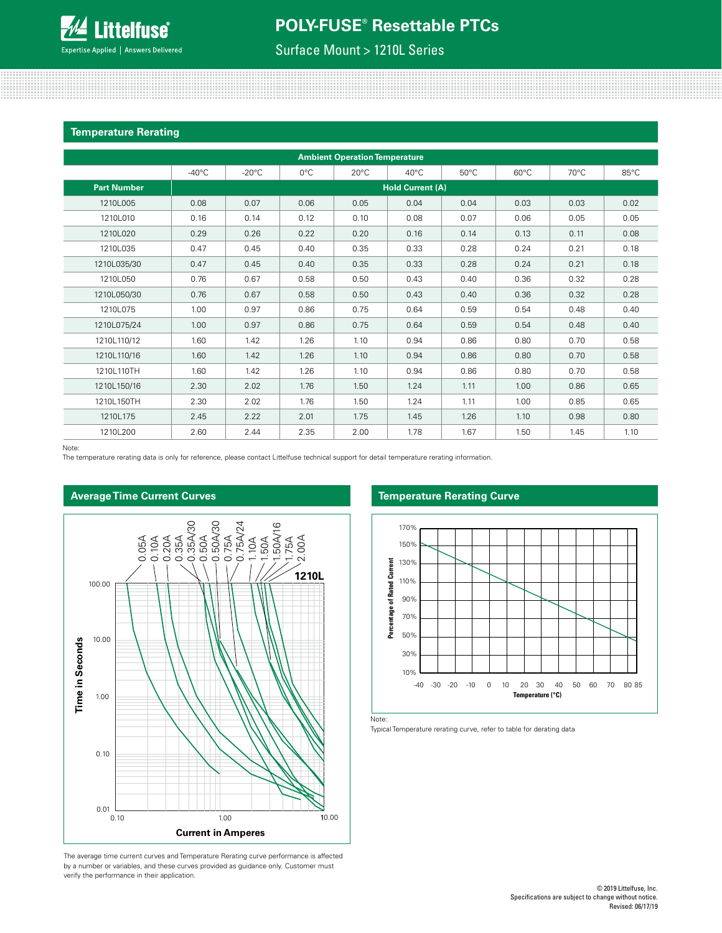## Surface Mount > 1210L Series

#### **Temperature Rerating**

|                    |                 |                 |               | <b>Ambient Operation Temperature</b> |                         |                |                |                |      |
|--------------------|-----------------|-----------------|---------------|--------------------------------------|-------------------------|----------------|----------------|----------------|------|
|                    | $-40^{\circ}$ C | $-20^{\circ}$ C | $0^{\circ}$ C | $20^{\circ}$ C                       | 40°C                    | $50^{\circ}$ C | $60^{\circ}$ C | $70^{\circ}$ C | 85°C |
| <b>Part Number</b> |                 |                 |               |                                      | <b>Hold Current (A)</b> |                |                |                |      |
| 1210L005           | 0.08            | 0.07            | 0.06          | 0.05                                 | 0.04                    | 0.04           | 0.03           | 0.03           | 0.02 |
| 1210L010           | 0.16            | 0.14            | 0.12          | 0.10                                 | 0.08                    | 0.07           | 0.06           | 0.05           | 0.05 |
| 1210L020           | 0.29            | 0.26            | 0.22          | 0.20                                 | 0.16                    | 0.14           | 0.13           | 0.11           | 0.08 |
| 1210L035           | 0.47            | 0.45            | 0.40          | 0.35                                 | 0.33                    | 0.28           | 0.24           | 0.21           | 0.18 |
| 1210L035/30        | 0.47            | 0.45            | 0.40          | 0.35                                 | 0.33                    | 0.28           | 0.24           | 0.21           | 0.18 |
| 1210L050           | 0.76            | 0.67            | 0.58          | 0.50                                 | 0.43                    | 0.40           | 0.36           | 0.32           | 0.28 |
| 1210L050/30        | 0.76            | 0.67            | 0.58          | 0.50                                 | 0.43                    | 0.40           | 0.36           | 0.32           | 0.28 |
| 1210L075           | 1.00            | 0.97            | 0.86          | 0.75                                 | 0.64                    | 0.59           | 0.54           | 0.48           | 0.40 |
| 1210L075/24        | 1.00            | 0.97            | 0.86          | 0.75                                 | 0.64                    | 0.59           | 0.54           | 0.48           | 0.40 |
| 1210L110/12        | 1.60            | 1.42            | 1.26          | 1.10                                 | 0.94                    | 0.86           | 0.80           | 0.70           | 0.58 |
| 1210L110/16        | 1.60            | 1.42            | 1.26          | 1.10                                 | 0.94                    | 0.86           | 0.80           | 0.70           | 0.58 |
| 1210L110TH         | 1.60            | 1.42            | 1.26          | 1.10                                 | 0.94                    | 0.86           | 0.80           | 0.70           | 0.58 |
| 1210L150/16        | 2.30            | 2.02            | 1.76          | 1.50                                 | 1.24                    | 1.11           | 1.00           | 0.86           | 0.65 |
| 1210L150TH         | 2.30            | 2.02            | 1.76          | 1.50                                 | 1.24                    | 1.11           | 1.00           | 0.85           | 0.65 |
| 1210L175           | 2.45            | 2.22            | 2.01          | 1.75                                 | 1.45                    | 1.26           | 1.10           | 0.98           | 0.80 |
| 1210L200           | 2.60            | 2.44            | 2.35          | 2.00                                 | 1.78                    | 1.67           | 1.50           | 1.45           | 1.10 |

Note:

**Average Time Current Curves**

The temperature rerating data is only for reference, please contact Littelfuse technical support for detail temperature rerating information.

# 0.05A 0.10A 0.20A 0.35A 0.35A/30 0.50A 0.50A/30 0.75A 0.75A/24 1.10 A 1.50A 1.50A/16 1.75A 2.00A **1210L** 100.00 10.00 **Time in Seconds Time in Seconds** 1.00 0.10 0.01 0.10 1.00 10.00 10.00 **Current in Amperes**

The average time current curves and Temperature Rerating curve performance is affected by a number or variables, and these curves provided as guidance only. Customer must verify the performance in their application.

# A

A

A

A VV



A

V

V

A

A

V

A

V

V

A

A

A

Note:

1 Typical Temperature rerating curve, refer to table for derating data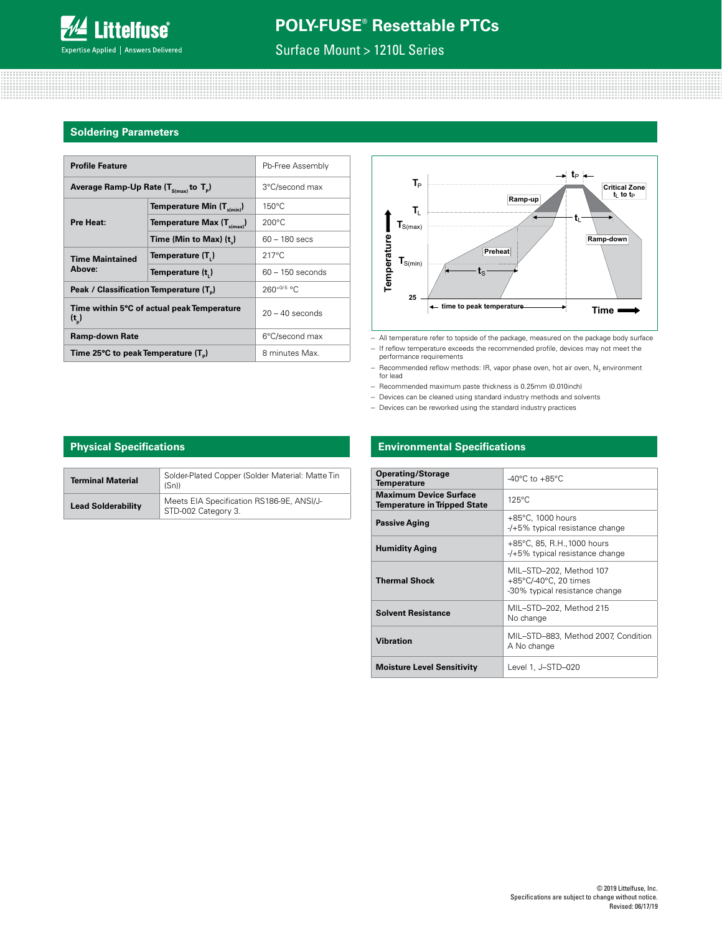

# Surface Mount > 1210L Series

#### **Soldering Parameters**

| <b>Profile Feature</b>                              | Pb-Free Assembly                           |                    |
|-----------------------------------------------------|--------------------------------------------|--------------------|
| Average Ramp-Up Rate $(T_{S(max)}$ to $T_p$ )       | 3°C/second max                             |                    |
|                                                     | Temperature Min $(T_{s(min)})$             | $150^{\circ}$ C    |
| Pre Heat:                                           | Temperature Max $(T_{s(max)})$             | $200^{\circ}$ C    |
|                                                     | Time (Min to Max) $(t_n)$                  | $60 - 180$ secs    |
| <b>Time Maintained</b>                              | Temperature (T,)                           | $217^{\circ}$ C    |
| Above:                                              | Temperature (t,)                           | $60 - 150$ seconds |
| Peak / Classification Temperature (T <sub>a</sub> ) |                                            | $260+0/5$ °C       |
| $(t_{n})$                                           | Time within 5°C of actual peak Temperature | $20 - 40$ seconds  |
| <b>Ramp-down Rate</b>                               | 6°C/second max                             |                    |
| Time 25°C to peak Temperature (T <sub>a</sub> )     | 8 minutes Max.                             |                    |



-- All temperature refer to topside of the package, measured on the package body surface -- If reflow temperature exceeds the recommended profile, devices may not meet the

performance requirements - Recommended reflow methods: IR, vapor phase oven, hot air oven,  $\mathsf{N}_2$  environment

for lead -- Recommended maximum paste thickness is 0.25mm (0.010inch)

- Devices can be cleaned using standard industry methods and solvents

- Devices can be reworked using the standard industry practices

### **Environmental Specifications**

| <b>Operating/Storage</b><br><b>Temperature</b>                       | $-40^{\circ}$ C to $+85^{\circ}$ C                                                 |
|----------------------------------------------------------------------|------------------------------------------------------------------------------------|
| <b>Maximum Device Surface</b><br><b>Temperature in Tripped State</b> | $125^{\circ}$ C                                                                    |
| <b>Passive Aging</b>                                                 | $+85^{\circ}$ C, 1000 hours<br>-/+5% typical resistance change                     |
| Humidity Aging                                                       | +85°C, 85, R.H., 1000 hours<br>-/+5% typical resistance change                     |
| <b>Thermal Shock</b>                                                 | MIL–STD–202, Method 107<br>+85°C/-40°C, 20 times<br>-30% typical resistance change |
| <b>Solvent Resistance</b>                                            | MIL-STD-202, Method 215<br>No change                                               |
| <b>Vibration</b>                                                     | MIL-STD-883, Method 2007, Condition<br>A No change                                 |
| <b>Moisture Level Sensitivity</b>                                    | Level 1. J–STD–020                                                                 |

### **Physical Specifications**

| <b>Terminal Material</b>  | Solder-Plated Copper (Solder Material: Matte Tin<br>(Sn)         |
|---------------------------|------------------------------------------------------------------|
| <b>Lead Solderability</b> | Meets EIA Specification RS186-9E, ANSI/J-<br>STD-002 Category 3. |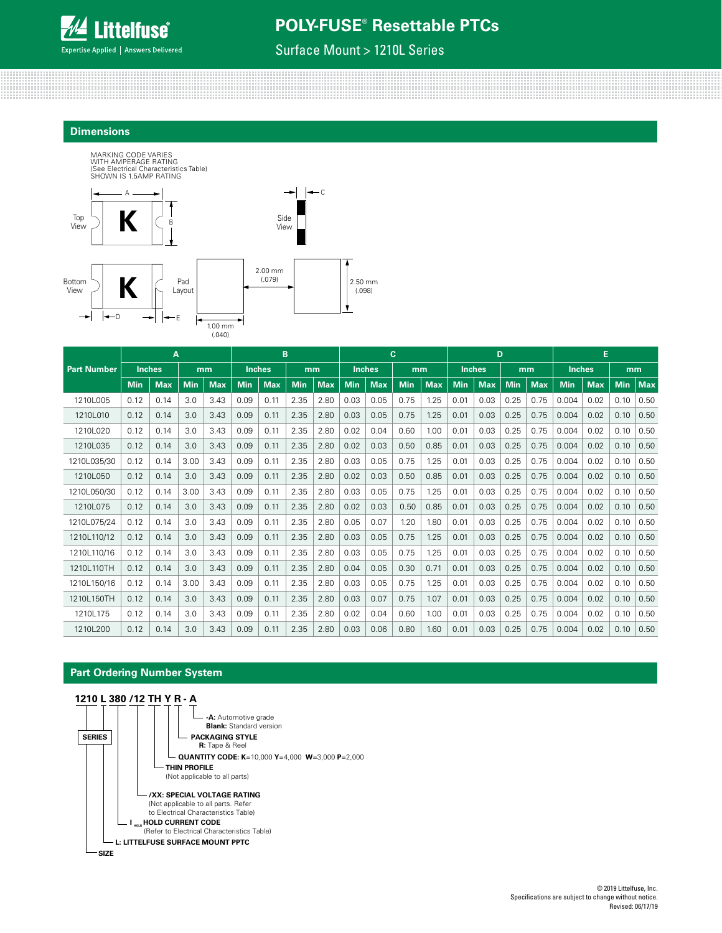

Surface Mount > 1210L Series

#### **Dimensions**



|                    | A          |               |            |            | B          |               |            | c          |            |               | D          |            |            |               | E          |            |               |            |            |            |
|--------------------|------------|---------------|------------|------------|------------|---------------|------------|------------|------------|---------------|------------|------------|------------|---------------|------------|------------|---------------|------------|------------|------------|
| <b>Part Number</b> |            | <b>Inches</b> |            | mm         |            | <b>Inches</b> | mm         |            |            | <b>Inches</b> | mm         |            |            | <b>Inches</b> |            | mm         | <b>Inches</b> |            | mm         |            |
|                    | <b>Min</b> | <b>Max</b>    | <b>Min</b> | <b>Max</b> | <b>Min</b> | <b>Max</b>    | <b>Min</b> | <b>Max</b> | <b>Min</b> | <b>Max</b>    | <b>Min</b> | <b>Max</b> | <b>Min</b> | <b>Max</b>    | <b>Min</b> | <b>Max</b> | <b>Min</b>    | <b>Max</b> | <b>Min</b> | <b>Max</b> |
| 1210L005           | 0.12       | 0.14          | 3.0        | 3.43       | 0.09       | 0.11          | 2.35       | 2.80       | 0.03       | 0.05          | 0.75       | 1.25       | 0.01       | 0.03          | 0.25       | 0.75       | 0.004         | 0.02       | 0.10       | 0.50       |
| 1210L010           | 0.12       | 0.14          | 3.0        | 3.43       | 0.09       | 0.11          | 2.35       | 2.80       | 0.03       | 0.05          | 0.75       | 1.25       | 0.01       | 0.03          | 0.25       | 0.75       | 0.004         | 0.02       | 0.10       | 0.50       |
| 1210L020           | 0.12       | 0.14          | 3.0        | 3.43       | 0.09       | 0.11          | 2.35       | 2.80       | 0.02       | 0.04          | 0.60       | 1.00       | 0.01       | 0.03          | 0.25       | 0.75       | 0.004         | 0.02       | 0.10       | 0.50       |
| 1210L035           | 0.12       | 0.14          | 3.0        | 3.43       | 0.09       | 0.11          | 2.35       | 2.80       | 0.02       | 0.03          | 0.50       | 0.85       | 0.01       | 0.03          | 0.25       | 0.75       | 0.004         | 0.02       | 0.10       | 0.50       |
| 1210L035/30        | 0.12       | 0.14          | 3.00       | 3.43       | 0.09       | 0.11          | 2.35       | 2.80       | 0.03       | 0.05          | 0.75       | 1.25       | 0.01       | 0.03          | 0.25       | 0.75       | 0.004         | 0.02       | 0.10       | 0.50       |
| 1210L050           | 0.12       | 0.14          | 3.0        | 3.43       | 0.09       | 0.11          | 2.35       | 2.80       | 0.02       | 0.03          | 0.50       | 0.85       | 0.01       | 0.03          | 0.25       | 0.75       | 0.004         | 0.02       | 0.10       | 0.50       |
| 1210L050/30        | 0.12       | 0.14          | 3.00       | 3.43       | 0.09       | 0.11          | 2.35       | 2.80       | 0.03       | 0.05          | 0.75       | 1.25       | 0.01       | 0.03          | 0.25       | 0.75       | 0.004         | 0.02       | 0.10       | 0.50       |
| 1210L075           | 0.12       | 0.14          | 3.0        | 3.43       | 0.09       | 0.11          | 2.35       | 2.80       | 0.02       | 0.03          | 0.50       | 0.85       | 0.01       | 0.03          | 0.25       | 0.75       | 0.004         | 0.02       | 0.10       | 0.50       |
| 1210L075/24        | 0.12       | 0.14          | 3.0        | 3.43       | 0.09       | 0.11          | 2.35       | 2.80       | 0.05       | 0.07          | 1.20       | 1.80       | 0.01       | 0.03          | 0.25       | 0.75       | 0.004         | 0.02       | 0.10       | 0.50       |
| 1210L110/12        | 0.12       | 0.14          | 3.0        | 3.43       | 0.09       | 0.11          | 2.35       | 2.80       | 0.03       | 0.05          | 0.75       | 1.25       | 0.01       | 0.03          | 0.25       | 0.75       | 0.004         | 0.02       | 0.10       | 0.50       |
| 1210L110/16        | 0.12       | 0.14          | 3.0        | 3.43       | 0.09       | 0.11          | 2.35       | 2.80       | 0.03       | 0.05          | 0.75       | 1.25       | 0.01       | 0.03          | 0.25       | 0.75       | 0.004         | 0.02       | 0.10       | 0.50       |
| 1210L110TH         | 0.12       | 0.14          | 3.0        | 3.43       | 0.09       | 0.11          | 2.35       | 2.80       | 0.04       | 0.05          | 0.30       | 0.71       | 0.01       | 0.03          | 0.25       | 0.75       | 0.004         | 0.02       | 0.10       | 0.50       |
| 1210L150/16        | 0.12       | 0.14          | 3.00       | 3.43       | 0.09       | 0.11          | 2.35       | 2.80       | 0.03       | 0.05          | 0.75       | 1.25       | 0.01       | 0.03          | 0.25       | 0.75       | 0.004         | 0.02       | 0.10       | 0.50       |
| 1210L150TH         | 0.12       | 0.14          | 3.0        | 3.43       | 0.09       | 0.11          | 2.35       | 2.80       | 0.03       | 0.07          | 0.75       | 1.07       | 0.01       | 0.03          | 0.25       | 0.75       | 0.004         | 0.02       | 0.10       | 0.50       |
| 1210L175           | 0.12       | 0.14          | 3.0        | 3.43       | 0.09       | 0.11          | 2.35       | 2.80       | 0.02       | 0.04          | 0.60       | 1.00       | 0.01       | 0.03          | 0.25       | 0.75       | 0.004         | 0.02       | 0.10       | 0.50       |
| 12101200           | 0.12       | 0.14          | 3.0        | 3.43       | 0.09       | 0.11          | 2.35       | 2.80       | 0.03       | 0.06          | 0.80       | 1.60       | 0.01       | 0.03          | 0.25       | 0.75       | 0.004         | 0.02       | 0.10       | 0.50       |

### **Part Ordering Number System**

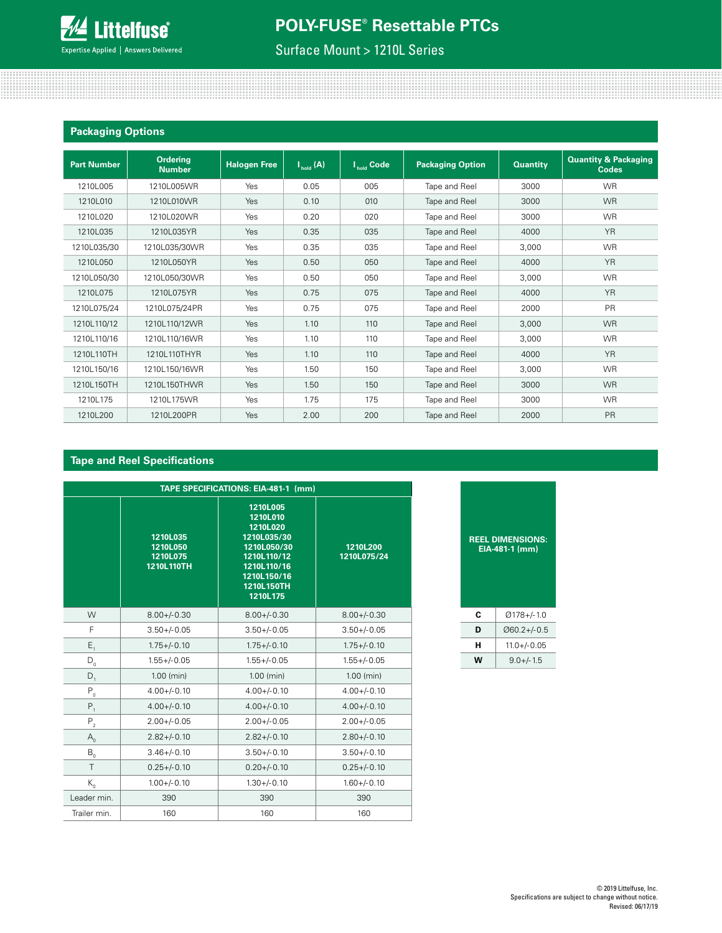

<u> 1999 - 1999 - 1999 - 1999 - 1999 - 1999 - 1999 - 1999 - 1999 - 1999 - 1999 - 1999 - 1999 - 1999 - 1999 - 199</u>

# Surface Mount > 1210L Series

| <b>Packaging Options</b> |                                  |                     |                      |                                              |                         |                 |                                                 |
|--------------------------|----------------------------------|---------------------|----------------------|----------------------------------------------|-------------------------|-----------------|-------------------------------------------------|
| <b>Part Number</b>       | <b>Ordering</b><br><b>Number</b> | <b>Halogen Free</b> | $I_{\text{hold}}(A)$ | $\overline{\mathsf{I}_{\mathsf{hold}}}$ Code | <b>Packaging Option</b> | <b>Quantity</b> | <b>Quantity &amp; Packaging</b><br><b>Codes</b> |
| 1210L005                 | 1210L005WR                       | Yes                 | 0.05                 | 005                                          | Tape and Reel           | 3000            | <b>WR</b>                                       |
| 1210L010                 | 1210L010WR                       | Yes                 | 0.10                 | 010                                          | Tape and Reel           | 3000            | <b>WR</b>                                       |
| 1210L020                 | 1210L020WR                       | Yes                 | 0.20                 | 020                                          | Tape and Reel           | 3000            | <b>WR</b>                                       |
| 1210L035                 | 1210L035YR                       | Yes                 | 0.35                 | 035                                          | Tape and Reel           | 4000            | <b>YR</b>                                       |
| 1210L035/30              | 1210L035/30WR                    | Yes                 | 0.35                 | 035                                          | Tape and Reel           | 3.000           | <b>WR</b>                                       |
| 1210L050                 | 1210L050YR                       | Yes                 | 0.50                 | 050                                          | Tape and Reel           | 4000            | <b>YR</b>                                       |
| 1210L050/30              | 1210L050/30WR                    | Yes                 | 0.50                 | 050                                          | Tape and Reel           | 3,000           | <b>WR</b>                                       |
| 1210L075                 | 1210L075YR                       | Yes                 | 0.75                 | 075                                          | Tape and Reel           | 4000            | <b>YR</b>                                       |
| 1210L075/24              | 1210L075/24PR                    | Yes                 | 0.75                 | 075                                          | Tape and Reel           | 2000            | PR                                              |
| 1210L110/12              | 1210L110/12WR                    | Yes                 | 1.10                 | 110                                          | Tape and Reel           | 3,000           | <b>WR</b>                                       |
| 1210L110/16              | 1210L110/16WR                    | Yes                 | 1.10                 | 110                                          | Tape and Reel           | 3,000           | <b>WR</b>                                       |
| 1210L110TH               | 1210L110THYR                     | Yes                 | 1.10                 | 110                                          | Tape and Reel           | 4000            | <b>YR</b>                                       |
| 1210L150/16              | 1210L150/16WR                    | Yes                 | 1.50                 | 150                                          | Tape and Reel           | 3.000           | <b>WR</b>                                       |
| 1210L150TH               | 1210L150THWR                     | Yes                 | 1.50                 | 150                                          | Tape and Reel           | 3000            | <b>WR</b>                                       |
| 1210L175                 | 1210L175WR                       | Yes                 | 1.75                 | 175                                          | Tape and Reel           | 3000            | <b>WR</b>                                       |
| 1210L200                 | 1210L200PR                       | Yes                 | 2.00                 | 200                                          | Tape and Reel           | 2000            | PR                                              |

### **Tape and Reel Specifications**

| TAPE SPECIFICATIONS: EIA-481-1 (mm)     |                                                |                                                                                                                                       |                         |  |  |  |  |  |  |
|-----------------------------------------|------------------------------------------------|---------------------------------------------------------------------------------------------------------------------------------------|-------------------------|--|--|--|--|--|--|
|                                         | 1210L035<br>1210L050<br>1210L075<br>1210L110TH | 1210L005<br>1210L010<br>1210L020<br>1210L035/30<br>1210L050/30<br>1210L110/12<br>1210L110/16<br>1210L150/16<br>1210L150TH<br>1210L175 | 1210L200<br>1210L075/24 |  |  |  |  |  |  |
| W                                       | $8.00 + / -0.30$                               | $8.00 +/-0.30$                                                                                                                        | $8.00 + / -0.30$        |  |  |  |  |  |  |
| F                                       | $3.50 +/- 0.05$                                | $3.50 + / -0.05$                                                                                                                      | $3.50 +/-0.05$          |  |  |  |  |  |  |
| $\mathsf{E}_{_1}$                       | $1.75 + (-0.10)$                               | $1.75 + (-0.10)$                                                                                                                      | $1.75 + (-0.10)$        |  |  |  |  |  |  |
| $D_0$                                   | $1.55 + / -0.05$                               | $1.55 + / -0.05$                                                                                                                      | $1.55 + / -0.05$        |  |  |  |  |  |  |
| $D_1$                                   | $1.00$ (min)                                   | $1.00$ (min)                                                                                                                          | $1.00$ (min)            |  |  |  |  |  |  |
| $\mathsf{P}_{_{\!0}}$                   | $4.00 +/- 0.10$                                | $4.00 + (-0.10)$                                                                                                                      | $4.00 + (-0.10)$        |  |  |  |  |  |  |
| $P_1$                                   | $4.00 + (-0.10)$                               | $4.00 + (-0.10)$                                                                                                                      | $4.00 + (-0.10)$        |  |  |  |  |  |  |
| $P_{2}$                                 | $2.00 +/-0.05$                                 | $2.00 +/-0.05$                                                                                                                        | $2.00 +/- 0.05$         |  |  |  |  |  |  |
| $A_{0}$                                 | $2.82 + 0.10$                                  | $2.82 + -0.10$                                                                                                                        | $2.80 + / -0.10$        |  |  |  |  |  |  |
| $\mathsf{B}_{_{\scriptscriptstyle{0}}}$ | $3.46 +/-0.10$                                 | $3.50 +/-0.10$                                                                                                                        | $3.50 +/-0.10$          |  |  |  |  |  |  |
| T                                       | $0.25 + 0.10$                                  | $0.20 + (-0.10)$                                                                                                                      | $0.25 + (-0.10)$        |  |  |  |  |  |  |
| $K_{0}$                                 | $1.00 + (-0.10)$                               | $1.30 + / -0.10$                                                                                                                      | $1.60 +/- 0.10$         |  |  |  |  |  |  |
| Leader min.                             | 390                                            | 390                                                                                                                                   | 390                     |  |  |  |  |  |  |
| Trailer min.                            | 160                                            | 160                                                                                                                                   | 160                     |  |  |  |  |  |  |

#### **REEL DIMENSIONS: EIA-481-1 (mm)**

| c | 0178+/-1.0       |
|---|------------------|
| D | $@60.2 +/-0.5$   |
| н | $11.0 + (-0.05)$ |
| w | $9.0 +/- 1.5$    |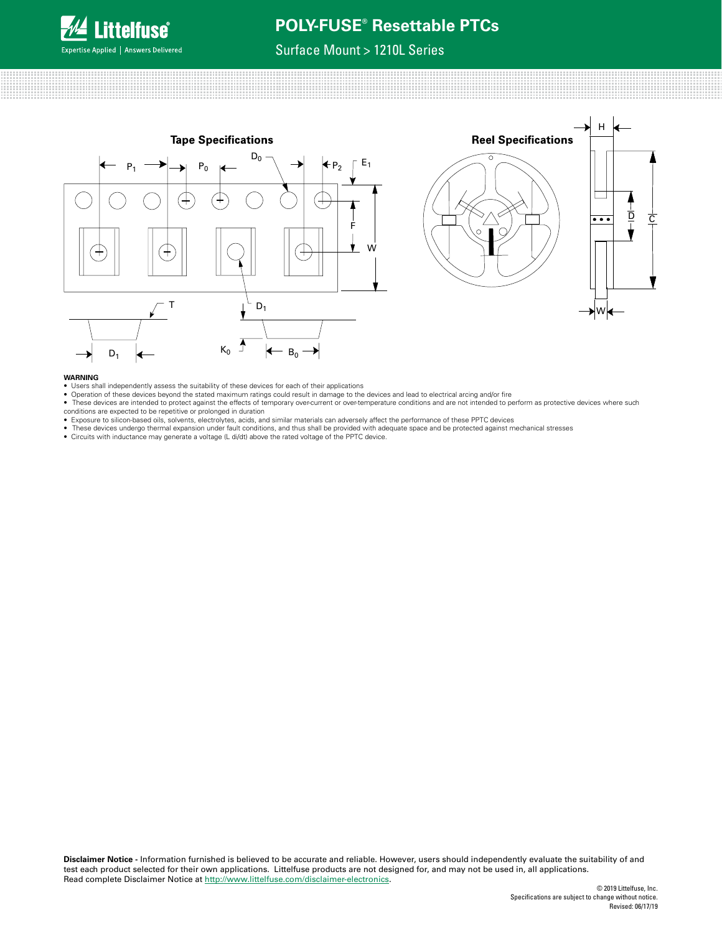

## Surface Mount > 1210L Series



#### **WARNING**

- Users shall independently assess the suitability of these devices for each of their applications
- Operation of these devices beyond the stated maximum ratings could result in damage to the devices and lead to electrical arcing and/or fire
- These devices are intended to protect against the effects of temporary over-current or over-temperature conditions and are not intended to perform as protective devices where such
- conditions are expected to be repetitive or prolonged in duration Exposure to silicon-based oils, solvents, electrolytes, acids, and similar materials can adversely affect the performance of these PPTC devices
- These devices undergo thermal expansion under fault conditions, and thus shall be provided with adequate space and be protected against mechanical stresses<br>● Circuits with inductance may generate a voltage (L di/dt) abo
-